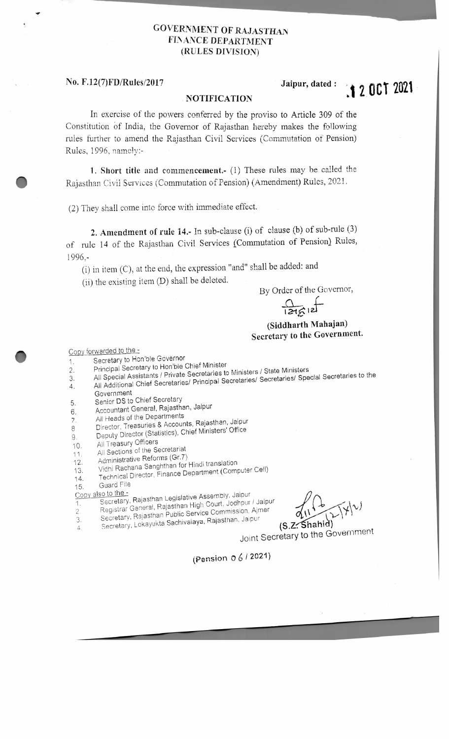## **GOVERNMENT OF RAJASTHAN FINANCE DEPARTMENT (RULES DIVISION)**

### **No. F.12(7)FD/Rules/2017 .Jalpur, dated :**

**~ 1 2. OCT 2021** 

#### **, NOTIFICATION**

In exercise of the powers conferred by the proviso to Article 309 of the Constitution of India, the Governor. of Rajasthan hereby makes the following rules further to amend the Rajasthan Civil Services (Commutation of Pension) Rules, 1996, namely:-

**1. Short title and commencement-** (1) These rules may be called the Rajasthan Civil Services (Commutation of Pension) (Amendment) Rules, 2021.

(2) They shall come into force with immediate effect.

**2. Amendment of rule 14.-** In sub-clause (i) of clause (b) of sub-rule (3) of rnle 14 of the Rajasthan Civil Services {Commutation of Pension} Rules, 1996,-

(i) in item (C), at the end, the expression "and" shall be added: and

(ii) the existing item (D) shall be deleted.

By Order of the Governor,

 $\frac{1}{\log n}$  $\varepsilon$ <sup>12</sup>

# **(Siddharth Mahajan) Secretary to the Government.**

#### Copy forwarded to the -

- 1. Secretary to Hon'ble Governor
- 2. Principal Secretary to Hon'ble Chief Minister
- 3. All Special Assistants / Private Secretaries to Ministers / State Ministers<br>3. All Special Assistants / Principal Secretaries / Secretaries / Spe
- 4. All Additional Chief Secretaries/ Principai Secretaries/ Secretaries/ Special Secretaries to the
- Government
- Senior OS to Chief Secretary 5.
- Accountant General, Rajasthan, Jaipur 6.
- All Heads of the Departments 7.
- Director, Treasuries & Accounts, Rajasthan, Jaipur
- Deputy Director (Statistics), Chief Ministers' Office 8
- All Treasury Officers 9.
- All Sections of the Secretariat 10.
- Administrative Reforms (Gr.7) 11.
- 12.
- Vidhi Rachana Sanghthan for Hindi translation Technical Director, Finance Department (Computer Ce!\) 13.
- 14.
- 15. Guard File
- Copy also to the -<br>Secretary
- Secretary, Rajasthan Legislative Assembly, Jaipu Secretary, Rajasman Begistem<br>Pegistrar General, Rajasthan High Court, Jodhpur / .<br>r l / Jaipur
- 2 .
- 
- 

*i*   $\bigcap$ Secretary, Rajasthan Legislative Assembly, Jaipur<br>2. Registrar General, Rajasthan High Court, Jodhpur / Jaipur<br>3. Secretary, Rajasthan Public Service Commission, Ajmer (11, 1991) 4. Secretary, Rajasthan Legislative Assembly, Jaipur<br>
1. Secretary, Rajasthan Legislative Assembly, Jaipur<br>
2. Registrar General, Rajasthan High Court, Jodhpur / Jaipur<br>
3. Secretary, Lokayukta Sachivalaya, Rajasthan, Jaip

Secretary, Lokayukta Sachivalaya, Rajasthan, Jaipur (S.Z. Shahid)<br>Joint Secretary to the Government.

(Pension O 6 *i* 2021}